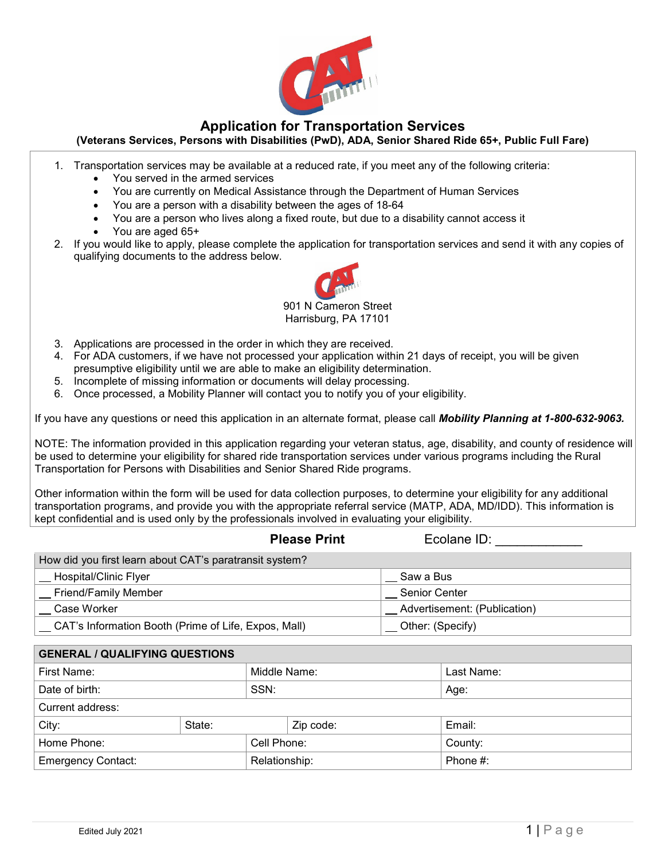

### **Application for Transportation Services**

### **(Veterans Services, Persons with Disabilities (PwD), ADA, Senior Shared Ride 65+, Public Full Fare)**

- 1. Transportation services may be available at a reduced rate, if you meet any of the following criteria:
	- You served in the armed services
	- You are currently on Medical Assistance through the Department of Human Services
	- You are a person with a disability between the ages of 18-64
	- You are a person who lives along a fixed route, but due to a disability cannot access it
	- You are aged 65+
- 2. If you would like to apply, please complete the application for transportation services and send it with any copies of qualifying documents to the address below.



Harrisburg, PA 17101

- 3. Applications are processed in the order in which they are received.
- 4. For ADA customers, if we have not processed your application within 21 days of receipt, you will be given presumptive eligibility until we are able to make an eligibility determination.
- 5. Incomplete of missing information or documents will delay processing.
- 6. Once processed, a Mobility Planner will contact you to notify you of your eligibility.

If you have any questions or need this application in an alternate format, please call *Mobility Planning at 1-800-632-9063.* 

NOTE: The information provided in this application regarding your veteran status, age, disability, and county of residence will be used to determine your eligibility for shared ride transportation services under various programs including the Rural Transportation for Persons with Disabilities and Senior Shared Ride programs.

Other information within the form will be used for data collection purposes, to determine your eligibility for any additional transportation programs, and provide you with the appropriate referral service (MATP, ADA, MD/IDD). This information is kept confidential and is used only by the professionals involved in evaluating your eligibility.

|                                                         | <b>Please Print</b> | Ecolane ID:                  |
|---------------------------------------------------------|---------------------|------------------------------|
| How did you first learn about CAT's paratransit system? |                     |                              |
| __ Hospital/Clinic Flyer                                |                     | Saw a Bus                    |
| _ Friend/Family Member                                  |                     | Senior Center                |
| Case Worker                                             |                     | Advertisement: (Publication) |
| CAT's Information Booth (Prime of Life, Expos, Mall)    |                     | Other: (Specify)             |
|                                                         |                     |                              |

| <b>GENERAL / QUALIFYING QUESTIONS</b> |        |               |           |             |  |  |  |
|---------------------------------------|--------|---------------|-----------|-------------|--|--|--|
| First Name:                           |        | Middle Name:  |           | Last Name:  |  |  |  |
| Date of birth:                        |        | SSN:          |           | Age:        |  |  |  |
| Current address:                      |        |               |           |             |  |  |  |
| City:                                 | State: |               | Zip code: | Email:      |  |  |  |
| Home Phone:                           |        | Cell Phone:   |           | County:     |  |  |  |
| <b>Emergency Contact:</b>             |        | Relationship: |           | Phone $#$ : |  |  |  |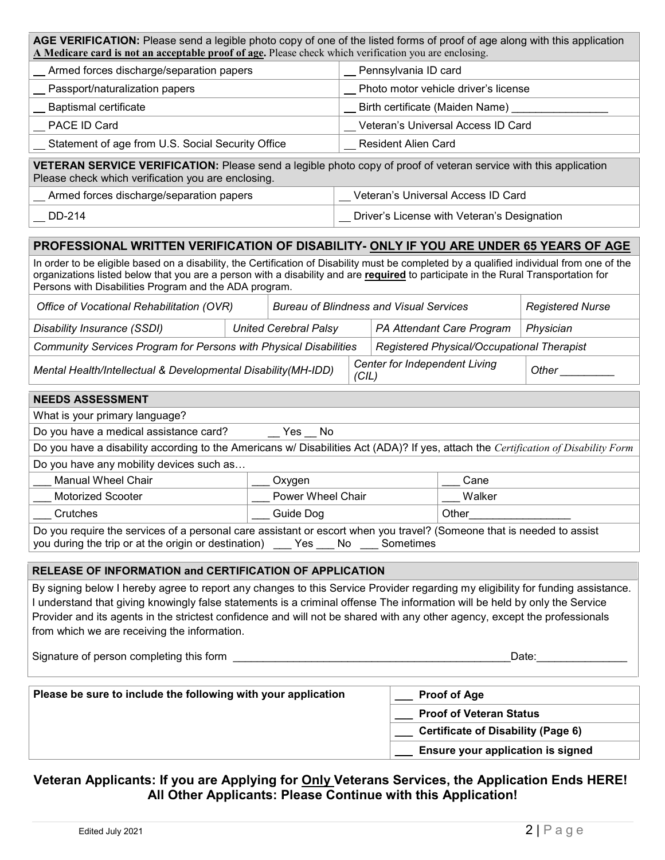| AGE VERIFICATION: Please send a legible photo copy of one of the listed forms of proof of age along with this application                                                                                                                                                                                                                                                                                                                   |                                                |  |                      |                                           |                                             |                         |  |
|---------------------------------------------------------------------------------------------------------------------------------------------------------------------------------------------------------------------------------------------------------------------------------------------------------------------------------------------------------------------------------------------------------------------------------------------|------------------------------------------------|--|----------------------|-------------------------------------------|---------------------------------------------|-------------------------|--|
| A Medicare card is not an acceptable proof of age. Please check which verification you are enclosing.                                                                                                                                                                                                                                                                                                                                       |                                                |  |                      |                                           |                                             |                         |  |
| Armed forces discharge/separation papers                                                                                                                                                                                                                                                                                                                                                                                                    |                                                |  | Pennsylvania ID card |                                           |                                             |                         |  |
| Passport/naturalization papers                                                                                                                                                                                                                                                                                                                                                                                                              |                                                |  |                      |                                           | Photo motor vehicle driver's license        |                         |  |
| <b>Baptismal certificate</b>                                                                                                                                                                                                                                                                                                                                                                                                                |                                                |  |                      |                                           | Birth certificate (Maiden Name)             |                         |  |
| PACE ID Card                                                                                                                                                                                                                                                                                                                                                                                                                                |                                                |  |                      |                                           | Veteran's Universal Access ID Card          |                         |  |
| Statement of age from U.S. Social Security Office                                                                                                                                                                                                                                                                                                                                                                                           |                                                |  |                      | <b>Resident Alien Card</b>                |                                             |                         |  |
| VETERAN SERVICE VERIFICATION: Please send a legible photo copy of proof of veteran service with this application<br>Please check which verification you are enclosing.                                                                                                                                                                                                                                                                      |                                                |  |                      |                                           |                                             |                         |  |
| Armed forces discharge/separation papers                                                                                                                                                                                                                                                                                                                                                                                                    |                                                |  |                      |                                           | __ Veteran's Universal Access ID Card       |                         |  |
| DD-214                                                                                                                                                                                                                                                                                                                                                                                                                                      |                                                |  |                      |                                           | Driver's License with Veteran's Designation |                         |  |
| PROFESSIONAL WRITTEN VERIFICATION OF DISABILITY- ONLY IF YOU ARE UNDER 65 YEARS OF AGE                                                                                                                                                                                                                                                                                                                                                      |                                                |  |                      |                                           |                                             |                         |  |
| In order to be eligible based on a disability, the Certification of Disability must be completed by a qualified individual from one of the<br>organizations listed below that you are a person with a disability and are required to participate in the Rural Transportation for<br>Persons with Disabilities Program and the ADA program.                                                                                                  |                                                |  |                      |                                           |                                             |                         |  |
| Office of Vocational Rehabilitation (OVR)                                                                                                                                                                                                                                                                                                                                                                                                   | <b>Bureau of Blindness and Visual Services</b> |  |                      |                                           |                                             | <b>Registered Nurse</b> |  |
| Disability Insurance (SSDI)                                                                                                                                                                                                                                                                                                                                                                                                                 | <b>United Cerebral Palsy</b>                   |  |                      |                                           | PA Attendant Care Program                   | Physician               |  |
| Community Services Program for Persons with Physical Disabilities                                                                                                                                                                                                                                                                                                                                                                           |                                                |  |                      |                                           | Registered Physical/Occupational Therapist  |                         |  |
| Mental Health/Intellectual & Developmental Disability(MH-IDD)<br>(CIL)                                                                                                                                                                                                                                                                                                                                                                      |                                                |  |                      | <b>Center for Independent Living</b>      |                                             | Other $\_$              |  |
| <b>NEEDS ASSESSMENT</b>                                                                                                                                                                                                                                                                                                                                                                                                                     |                                                |  |                      |                                           |                                             |                         |  |
| What is your primary language?                                                                                                                                                                                                                                                                                                                                                                                                              |                                                |  |                      |                                           |                                             |                         |  |
| Do you have a medical assistance card?                                                                                                                                                                                                                                                                                                                                                                                                      | Yes<br>No                                      |  |                      |                                           |                                             |                         |  |
| Do you have a disability according to the Americans w/ Disabilities Act (ADA)? If yes, attach the Certification of Disability Form                                                                                                                                                                                                                                                                                                          |                                                |  |                      |                                           |                                             |                         |  |
| Do you have any mobility devices such as                                                                                                                                                                                                                                                                                                                                                                                                    |                                                |  |                      |                                           |                                             |                         |  |
| <b>Manual Wheel Chair</b>                                                                                                                                                                                                                                                                                                                                                                                                                   | Oxygen                                         |  |                      |                                           | Cane                                        |                         |  |
| <b>Motorized Scooter</b>                                                                                                                                                                                                                                                                                                                                                                                                                    | Power Wheel Chair                              |  |                      |                                           | Walker                                      |                         |  |
| Desember 1999   2009   2009   2010   2010   2010   2010   2010   2010   2010   2010   2010   2010  <br>Crutches                                                                                                                                                                                                                                                                                                                             |                                                |  |                      | Other                                     |                                             |                         |  |
| Do you require the services of a personal care assistant or escort when you travel? (Someone that is needed to assist<br>you during the trip or at the origin or destination) ____ Yes ____ No ____ Sometimes                                                                                                                                                                                                                               |                                                |  |                      |                                           |                                             |                         |  |
| RELEASE OF INFORMATION and CERTIFICATION OF APPLICATION                                                                                                                                                                                                                                                                                                                                                                                     |                                                |  |                      |                                           |                                             |                         |  |
| By signing below I hereby agree to report any changes to this Service Provider regarding my eligibility for funding assistance.<br>I understand that giving knowingly false statements is a criminal offense The information will be held by only the Service<br>Provider and its agents in the strictest confidence and will not be shared with any other agency, except the professionals<br>from which we are receiving the information. |                                                |  |                      |                                           |                                             |                         |  |
| Date: <b>Date:</b>                                                                                                                                                                                                                                                                                                                                                                                                                          |                                                |  |                      |                                           |                                             |                         |  |
| Please be sure to include the following with your application<br><b>Proof of Age</b>                                                                                                                                                                                                                                                                                                                                                        |                                                |  |                      |                                           |                                             |                         |  |
|                                                                                                                                                                                                                                                                                                                                                                                                                                             |                                                |  |                      | <b>Proof of Veteran Status</b>            |                                             |                         |  |
|                                                                                                                                                                                                                                                                                                                                                                                                                                             |                                                |  |                      | <b>Certificate of Disability (Page 6)</b> |                                             |                         |  |
|                                                                                                                                                                                                                                                                                                                                                                                                                                             |                                                |  |                      |                                           | Ensure your application is signed           |                         |  |

## **Veteran Applicants: If you are Applying for Only Veterans Services, the Application Ends HERE! All Other Applicants: Please Continue with this Application!**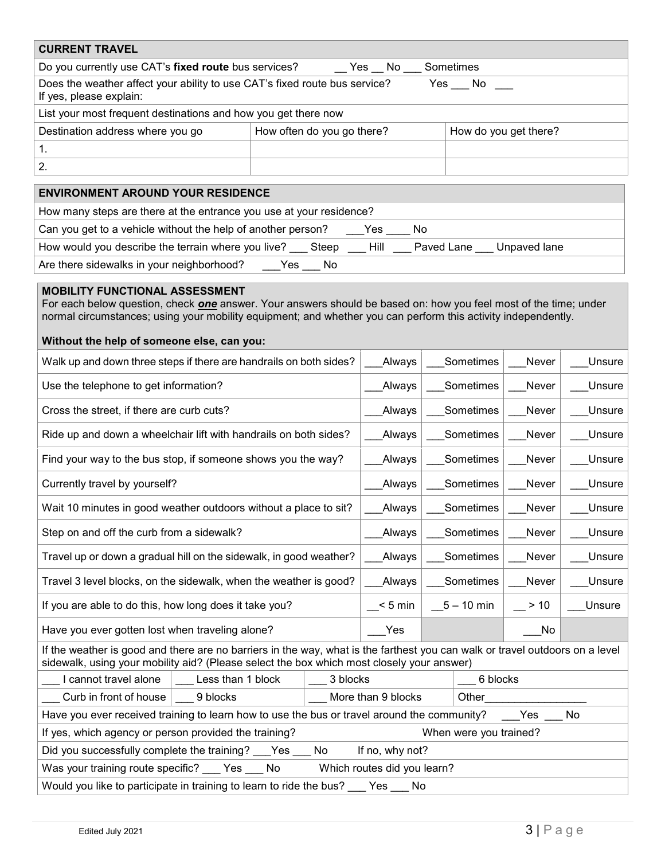| <b>CURRENT TRAVEL</b>                                                                                                                                                                                                                                                                                                    |     |                            |              |            |           |                       |        |
|--------------------------------------------------------------------------------------------------------------------------------------------------------------------------------------------------------------------------------------------------------------------------------------------------------------------------|-----|----------------------------|--------------|------------|-----------|-----------------------|--------|
| Do you currently use CAT's fixed route bus services?<br>No<br>Sometimes<br>Yes                                                                                                                                                                                                                                           |     |                            |              |            |           |                       |        |
| Does the weather affect your ability to use CAT's fixed route bus service?<br>Yes No<br>If yes, please explain:                                                                                                                                                                                                          |     |                            |              |            |           |                       |        |
| List your most frequent destinations and how you get there now                                                                                                                                                                                                                                                           |     |                            |              |            |           |                       |        |
| Destination address where you go                                                                                                                                                                                                                                                                                         |     | How often do you go there? |              |            |           | How do you get there? |        |
| 1.                                                                                                                                                                                                                                                                                                                       |     |                            |              |            |           |                       |        |
| 2.                                                                                                                                                                                                                                                                                                                       |     |                            |              |            |           |                       |        |
| <b>ENVIRONMENT AROUND YOUR RESIDENCE</b>                                                                                                                                                                                                                                                                                 |     |                            |              |            |           |                       |        |
| How many steps are there at the entrance you use at your residence?                                                                                                                                                                                                                                                      |     |                            |              |            |           |                       |        |
| Can you get to a vehicle without the help of another person?                                                                                                                                                                                                                                                             |     |                            | Yes          | No.        |           |                       |        |
| How would you describe the terrain where you live?                                                                                                                                                                                                                                                                       |     | Steep                      | Hill         | Paved Lane |           | Unpaved lane          |        |
| Are there sidewalks in your neighborhood?                                                                                                                                                                                                                                                                                | Yes | No.                        |              |            |           |                       |        |
| <b>MOBILITY FUNCTIONAL ASSESSMENT</b><br>For each below question, check one answer. Your answers should be based on: how you feel most of the time; under<br>normal circumstances; using your mobility equipment; and whether you can perform this activity independently.<br>Without the help of someone else, can you: |     |                            |              |            |           |                       |        |
| Walk up and down three steps if there are handrails on both sides?                                                                                                                                                                                                                                                       |     |                            | Always       |            | Sometimes | Never                 | Unsure |
| Use the telephone to get information?                                                                                                                                                                                                                                                                                    |     |                            | Always       |            | Sometimes | Never                 | Unsure |
| Cross the street, if there are curb cuts?                                                                                                                                                                                                                                                                                |     |                            | Always       |            | Sometimes | Never                 | Unsure |
| Ride up and down a wheelchair lift with handrails on both sides?                                                                                                                                                                                                                                                         |     |                            | Always       |            | Sometimes | Never                 | Unsure |
| Find your way to the bus stop, if someone shows you the way?<br>Sometimes<br>Always                                                                                                                                                                                                                                      |     |                            |              |            |           | Never                 | Unsure |
| Currently travel by yourself?<br>Sometimes<br>Always<br>Never                                                                                                                                                                                                                                                            |     |                            |              |            |           | Unsure                |        |
| Wait 10 minutes in good weather outdoors without a place to sit?                                                                                                                                                                                                                                                         |     |                            | Always       |            | Sometimes | Never                 | Unsure |
| Step on and off the curb from a sidewalk?                                                                                                                                                                                                                                                                                |     |                            | Always       | Sometimes  |           | Never                 | Unsure |
| Travel up or down a gradual hill on the sidewalk, in good weather?                                                                                                                                                                                                                                                       |     | Always                     | Sometimes    |            | Never     | Unsure                |        |
| Travel 3 level blocks, on the sidewalk, when the weather is good?                                                                                                                                                                                                                                                        |     |                            | Always       | Sometimes  |           | Never                 | Unsure |
| If you are able to do this, how long does it take you?                                                                                                                                                                                                                                                                   |     | $< 5$ min                  | $5 - 10$ min |            | > 10      | Unsure                |        |
| Have you ever gotten lost when traveling alone?                                                                                                                                                                                                                                                                          |     |                            | Yes          |            |           | No                    |        |
| If the weather is good and there are no barriers in the way, what is the farthest you can walk or travel outdoors on a level<br>sidewalk, using your mobility aid? (Please select the box which most closely your answer)                                                                                                |     |                            |              |            |           |                       |        |
| I cannot travel alone<br>Less than 1 block<br>3 blocks<br>6 blocks                                                                                                                                                                                                                                                       |     |                            |              |            |           |                       |        |
| Curb in front of house<br>9 blocks<br>More than 9 blocks<br>Other                                                                                                                                                                                                                                                        |     |                            |              |            |           |                       |        |
| Have you ever received training to learn how to use the bus or travel around the community?<br>No<br>Yes                                                                                                                                                                                                                 |     |                            |              |            |           |                       |        |
| If yes, which agency or person provided the training?<br>When were you trained?                                                                                                                                                                                                                                          |     |                            |              |            |           |                       |        |
| Did you successfully complete the training?<br>If no, why not?<br>Yes<br>No.                                                                                                                                                                                                                                             |     |                            |              |            |           |                       |        |
| Was your training route specific?<br>Which routes did you learn?<br>Yes<br>No                                                                                                                                                                                                                                            |     |                            |              |            |           |                       |        |
| Would you like to participate in training to learn to ride the bus? ___ Yes ___ No                                                                                                                                                                                                                                       |     |                            |              |            |           |                       |        |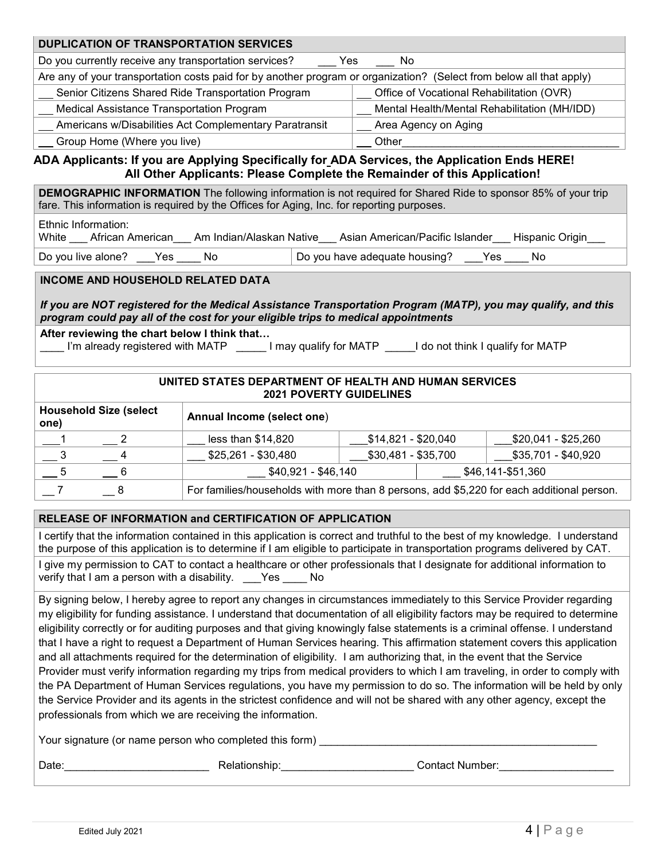|                                                                                                                                                                                                                                                                                                                                                                                                                                                                                                                                                                                                                                                                                                                                                                                                                                                                                                                                                                                                                                                                                                      | <b>DUPLICATION OF TRANSPORTATION SERVICES</b>                                                                                                                                                                     |                     |                                |                                           |                                                                                           |  |  |  |
|------------------------------------------------------------------------------------------------------------------------------------------------------------------------------------------------------------------------------------------------------------------------------------------------------------------------------------------------------------------------------------------------------------------------------------------------------------------------------------------------------------------------------------------------------------------------------------------------------------------------------------------------------------------------------------------------------------------------------------------------------------------------------------------------------------------------------------------------------------------------------------------------------------------------------------------------------------------------------------------------------------------------------------------------------------------------------------------------------|-------------------------------------------------------------------------------------------------------------------------------------------------------------------------------------------------------------------|---------------------|--------------------------------|-------------------------------------------|-------------------------------------------------------------------------------------------|--|--|--|
| Do you currently receive any transportation services?                                                                                                                                                                                                                                                                                                                                                                                                                                                                                                                                                                                                                                                                                                                                                                                                                                                                                                                                                                                                                                                |                                                                                                                                                                                                                   |                     | Yes<br>No                      |                                           |                                                                                           |  |  |  |
| Are any of your transportation costs paid for by another program or organization? (Select from below all that apply)                                                                                                                                                                                                                                                                                                                                                                                                                                                                                                                                                                                                                                                                                                                                                                                                                                                                                                                                                                                 |                                                                                                                                                                                                                   |                     |                                |                                           |                                                                                           |  |  |  |
| Senior Citizens Shared Ride Transportation Program                                                                                                                                                                                                                                                                                                                                                                                                                                                                                                                                                                                                                                                                                                                                                                                                                                                                                                                                                                                                                                                   |                                                                                                                                                                                                                   |                     |                                | Office of Vocational Rehabilitation (OVR) |                                                                                           |  |  |  |
| Medical Assistance Transportation Program                                                                                                                                                                                                                                                                                                                                                                                                                                                                                                                                                                                                                                                                                                                                                                                                                                                                                                                                                                                                                                                            |                                                                                                                                                                                                                   |                     |                                |                                           | Mental Health/Mental Rehabilitation (MH/IDD)                                              |  |  |  |
| Americans w/Disabilities Act Complementary Paratransit                                                                                                                                                                                                                                                                                                                                                                                                                                                                                                                                                                                                                                                                                                                                                                                                                                                                                                                                                                                                                                               |                                                                                                                                                                                                                   |                     |                                | Area Agency on Aging                      |                                                                                           |  |  |  |
| Group Home (Where you live)                                                                                                                                                                                                                                                                                                                                                                                                                                                                                                                                                                                                                                                                                                                                                                                                                                                                                                                                                                                                                                                                          |                                                                                                                                                                                                                   |                     | Other                          |                                           |                                                                                           |  |  |  |
| ADA Applicants: If you are Applying Specifically for ADA Services, the Application Ends HERE!                                                                                                                                                                                                                                                                                                                                                                                                                                                                                                                                                                                                                                                                                                                                                                                                                                                                                                                                                                                                        | All Other Applicants: Please Complete the Remainder of this Application!                                                                                                                                          |                     |                                |                                           |                                                                                           |  |  |  |
|                                                                                                                                                                                                                                                                                                                                                                                                                                                                                                                                                                                                                                                                                                                                                                                                                                                                                                                                                                                                                                                                                                      | <b>DEMOGRAPHIC INFORMATION</b> The following information is not required for Shared Ride to sponsor 85% of your trip<br>fare. This information is required by the Offices for Aging, Inc. for reporting purposes. |                     |                                |                                           |                                                                                           |  |  |  |
| Ethnic Information:<br>White African American Am Indian/Alaskan Native Asian American/Pacific Islander Hispanic Origin                                                                                                                                                                                                                                                                                                                                                                                                                                                                                                                                                                                                                                                                                                                                                                                                                                                                                                                                                                               |                                                                                                                                                                                                                   |                     |                                |                                           |                                                                                           |  |  |  |
| Do you live alone? Yes No                                                                                                                                                                                                                                                                                                                                                                                                                                                                                                                                                                                                                                                                                                                                                                                                                                                                                                                                                                                                                                                                            |                                                                                                                                                                                                                   |                     |                                | Do you have adequate housing? Nes         | No.                                                                                       |  |  |  |
| <b>INCOME AND HOUSEHOLD RELATED DATA</b>                                                                                                                                                                                                                                                                                                                                                                                                                                                                                                                                                                                                                                                                                                                                                                                                                                                                                                                                                                                                                                                             |                                                                                                                                                                                                                   |                     |                                |                                           |                                                                                           |  |  |  |
|                                                                                                                                                                                                                                                                                                                                                                                                                                                                                                                                                                                                                                                                                                                                                                                                                                                                                                                                                                                                                                                                                                      |                                                                                                                                                                                                                   |                     |                                |                                           |                                                                                           |  |  |  |
| If you are NOT registered for the Medical Assistance Transportation Program (MATP), you may qualify, and this<br>program could pay all of the cost for your eligible trips to medical appointments                                                                                                                                                                                                                                                                                                                                                                                                                                                                                                                                                                                                                                                                                                                                                                                                                                                                                                   |                                                                                                                                                                                                                   |                     |                                |                                           |                                                                                           |  |  |  |
| After reviewing the chart below I think that<br>I'm already registered with MATP _______I may qualify for MATP ______I do not think I qualify for MATP                                                                                                                                                                                                                                                                                                                                                                                                                                                                                                                                                                                                                                                                                                                                                                                                                                                                                                                                               |                                                                                                                                                                                                                   |                     |                                |                                           |                                                                                           |  |  |  |
|                                                                                                                                                                                                                                                                                                                                                                                                                                                                                                                                                                                                                                                                                                                                                                                                                                                                                                                                                                                                                                                                                                      | UNITED STATES DEPARTMENT OF HEALTH AND HUMAN SERVICES                                                                                                                                                             |                     | <b>2021 POVERTY GUIDELINES</b> |                                           |                                                                                           |  |  |  |
| <b>Household Size (select</b><br>one)                                                                                                                                                                                                                                                                                                                                                                                                                                                                                                                                                                                                                                                                                                                                                                                                                                                                                                                                                                                                                                                                | Annual Income (select one)                                                                                                                                                                                        |                     |                                |                                           |                                                                                           |  |  |  |
| 2                                                                                                                                                                                                                                                                                                                                                                                                                                                                                                                                                                                                                                                                                                                                                                                                                                                                                                                                                                                                                                                                                                    | less than $$14,820$                                                                                                                                                                                               |                     |                                | \$14,821 - \$20,040                       | \$20,041 - \$25,260                                                                       |  |  |  |
| 4                                                                                                                                                                                                                                                                                                                                                                                                                                                                                                                                                                                                                                                                                                                                                                                                                                                                                                                                                                                                                                                                                                    | \$25,261 - \$30,480                                                                                                                                                                                               |                     |                                | \$30,481 - \$35,700                       | \$35,701 - \$40,920                                                                       |  |  |  |
| 6                                                                                                                                                                                                                                                                                                                                                                                                                                                                                                                                                                                                                                                                                                                                                                                                                                                                                                                                                                                                                                                                                                    |                                                                                                                                                                                                                   | $$40,921 - $46,140$ |                                |                                           | \$46,141-\$51,360                                                                         |  |  |  |
| $\overline{7}$<br>8                                                                                                                                                                                                                                                                                                                                                                                                                                                                                                                                                                                                                                                                                                                                                                                                                                                                                                                                                                                                                                                                                  |                                                                                                                                                                                                                   |                     |                                |                                           | For families/households with more than 8 persons, add \$5,220 for each additional person. |  |  |  |
| RELEASE OF INFORMATION and CERTIFICATION OF APPLICATION                                                                                                                                                                                                                                                                                                                                                                                                                                                                                                                                                                                                                                                                                                                                                                                                                                                                                                                                                                                                                                              |                                                                                                                                                                                                                   |                     |                                |                                           |                                                                                           |  |  |  |
| I certify that the information contained in this application is correct and truthful to the best of my knowledge. I understand<br>the purpose of this application is to determine if I am eligible to participate in transportation programs delivered by CAT.                                                                                                                                                                                                                                                                                                                                                                                                                                                                                                                                                                                                                                                                                                                                                                                                                                       |                                                                                                                                                                                                                   |                     |                                |                                           |                                                                                           |  |  |  |
| I give my permission to CAT to contact a healthcare or other professionals that I designate for additional information to<br>verify that I am a person with a disability. ___Yes ____ No                                                                                                                                                                                                                                                                                                                                                                                                                                                                                                                                                                                                                                                                                                                                                                                                                                                                                                             |                                                                                                                                                                                                                   |                     |                                |                                           |                                                                                           |  |  |  |
| By signing below, I hereby agree to report any changes in circumstances immediately to this Service Provider regarding<br>my eligibility for funding assistance. I understand that documentation of all eligibility factors may be required to determine<br>eligibility correctly or for auditing purposes and that giving knowingly false statements is a criminal offense. I understand<br>that I have a right to request a Department of Human Services hearing. This affirmation statement covers this application<br>and all attachments required for the determination of eligibility. I am authorizing that, in the event that the Service<br>Provider must verify information regarding my trips from medical providers to which I am traveling, in order to comply with<br>the PA Department of Human Services regulations, you have my permission to do so. The information will be held by only<br>the Service Provider and its agents in the strictest confidence and will not be shared with any other agency, except the<br>professionals from which we are receiving the information. |                                                                                                                                                                                                                   |                     |                                |                                           |                                                                                           |  |  |  |
|                                                                                                                                                                                                                                                                                                                                                                                                                                                                                                                                                                                                                                                                                                                                                                                                                                                                                                                                                                                                                                                                                                      |                                                                                                                                                                                                                   |                     |                                |                                           |                                                                                           |  |  |  |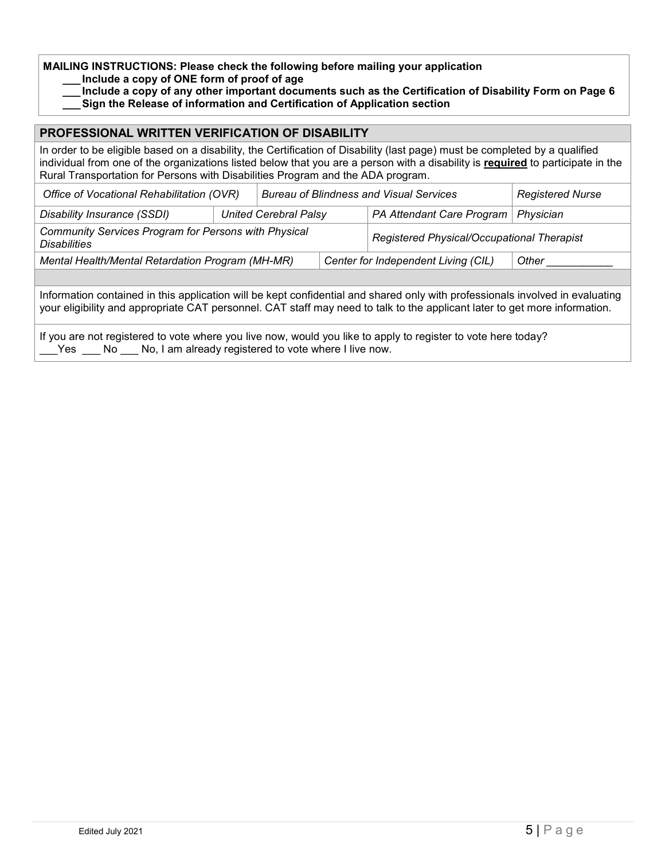**MAILING INSTRUCTIONS: Please check the following before mailing your application**

**\_\_\_ Include a copy of ONE form of proof of age**

**\_\_\_ Include a copy of any other important documents such as the Certification of Disability Form on Page 6**

**\_\_\_Sign the Release of information and Certification of Application section**

# **PROFESSIONAL WRITTEN VERIFICATION OF DISABILITY** In order to be eligible based on a disability, the Certification of Disability (last page) must be completed by a qualified individual from one of the organizations listed below that you are a person with a disability is **required** to participate in the Rural Transportation for Persons with Disabilities Program and the ADA program. *Office of Vocational Rehabilitation (OVR)* Bureau of Blindness and Visual Services **Registered Nurse** *Disability Insurance (SSDI) United Cerebral Palsy PA Attendant Care Program Physician Community Services Program for Persons with Physical Disabilities Registered Physical/Occupational Therapist Mental Health/Mental Retardation Program (MH-MR)*  $\qquad$  | Center for Independent Living (CIL)  $\qquad$  | Other Information contained in this application will be kept confidential and shared only with professionals involved in evaluating your eligibility and appropriate CAT personnel. CAT staff may need to talk to the applicant later to get more information. If you are not registered to vote where you live now, would you like to apply to register to vote here today? Yes No No, I am already registered to vote where I live now.